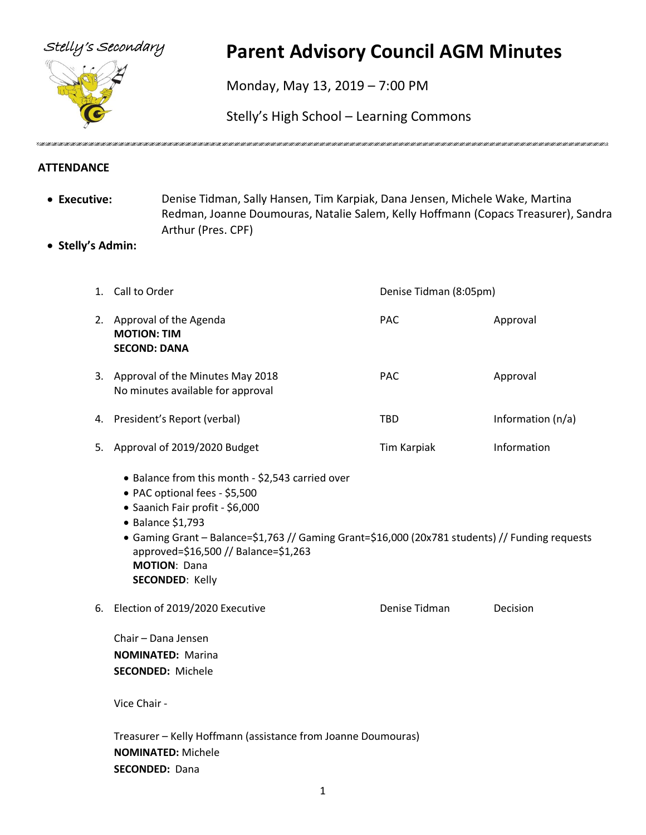

## Stelly's Secondary **Parent Advisory Council AGM Minutes**

Monday, May 13, 2019 – 7:00 PM

Stelly's High School – Learning Commons

VERTEN VERTEN VERTEN VERTEN VERTEN VERTEN ALTEN MET ET ALTEN MET ETTE MET ETTE MET ETTE MET ETTE MET ETTE MET ETTE MET ETTE MET ETTE MET ETTE MET ETTE MET ETTE MET ETTE MET ETTE MET ETTE MET ETTE MET ETTE MET ETTE MET ETTE

## **ATTENDANCE**

- **Executive:** Denise Tidman, Sally Hansen, Tim Karpiak, Dana Jensen, Michele Wake, Martina Redman, Joanne Doumouras, Natalie Salem, Kelly Hoffmann (Copacs Treasurer), Sandra Arthur (Pres. CPF)
- **Stelly's Admin:**

|    | 1. Call to Order                                                                                                                                                                                                                                                                                                                      | Denise Tidman (8:05pm) |                   |
|----|---------------------------------------------------------------------------------------------------------------------------------------------------------------------------------------------------------------------------------------------------------------------------------------------------------------------------------------|------------------------|-------------------|
|    | 2. Approval of the Agenda<br><b>MOTION: TIM</b><br><b>SECOND: DANA</b>                                                                                                                                                                                                                                                                | PAC                    | Approval          |
|    | 3. Approval of the Minutes May 2018<br>No minutes available for approval                                                                                                                                                                                                                                                              | <b>PAC</b>             | Approval          |
|    | 4. President's Report (verbal)                                                                                                                                                                                                                                                                                                        | <b>TBD</b>             | Information (n/a) |
| 5. | Approval of 2019/2020 Budget                                                                                                                                                                                                                                                                                                          | Tim Karpiak            | Information       |
|    | • Balance from this month - \$2,543 carried over<br>• PAC optional fees - \$5,500<br>· Saanich Fair profit - \$6,000<br>• Balance \$1,793<br>• Gaming Grant - Balance=\$1,763 // Gaming Grant=\$16,000 (20x781 students) // Funding requests<br>approved=\$16,500 // Balance=\$1,263<br><b>MOTION: Dana</b><br><b>SECONDED: Kelly</b> |                        |                   |
| 6. | Election of 2019/2020 Executive                                                                                                                                                                                                                                                                                                       | Denise Tidman          | Decision          |
|    | Chair - Dana Jensen<br><b>NOMINATED: Marina</b><br><b>SECONDED: Michele</b>                                                                                                                                                                                                                                                           |                        |                   |
|    | Vice Chair -                                                                                                                                                                                                                                                                                                                          |                        |                   |
|    | Treasurer - Kelly Hoffmann (assistance from Joanne Doumouras)<br><b>NOMINATED: Michele</b><br><b>SECONDED: Dana</b>                                                                                                                                                                                                                   |                        |                   |